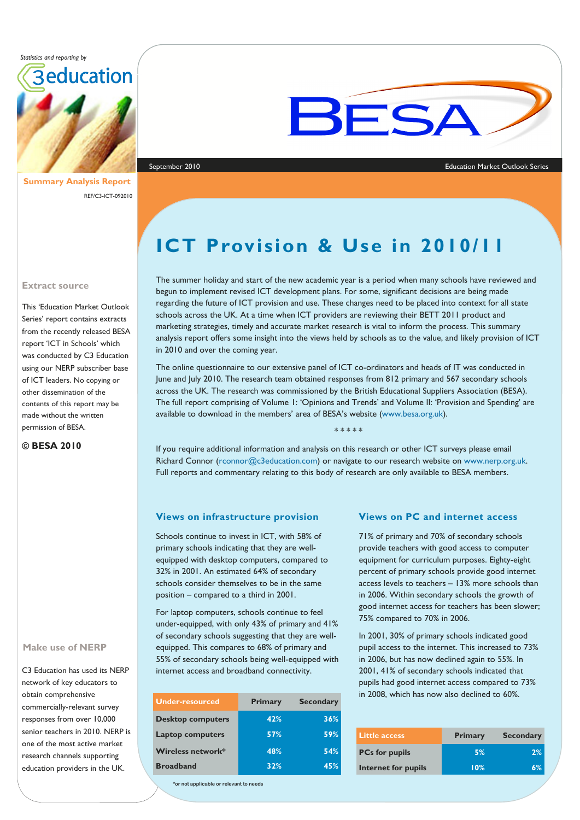*Statistics and reporting by* 



**Summary Analysis Report**  REF/C3-ICT-092010



#### September 2010 Education Market Outlook Series

#### **Extract source**

This 'Education Market Outlook Series' report contains extracts from the recently released BESA report 'ICT in Schools' which was conducted by C3 Education using our NERP subscriber base of ICT leaders. No copying or other dissemination of the contents of this report may be made without the written permission of BESA.

**© BESA 2010** 

#### **Make use of NERP**

C3 Education has used its NERP network of key educators to obtain comprehensive commercially-relevant survey responses from over 10,000 senior teachers in 2010. NERP is one of the most active market research channels supporting education providers in the UK.

**ICT Provision & Use in 2010/11**

The summer holiday and start of the new academic year is a period when many schools have reviewed and begun to implement revised ICT development plans. For some, significant decisions are being made regarding the future of ICT provision and use. These changes need to be placed into context for all state schools across the UK. At a time when ICT providers are reviewing their BETT 2011 product and marketing strategies, timely and accurate market research is vital to inform the process. This summary analysis report offers some insight into the views held by schools as to the value, and likely provision of ICT in 2010 and over the coming year.

The online questionnaire to our extensive panel of ICT co-ordinators and heads of IT was conducted in June and July 2010. The research team obtained responses from 812 primary and 567 secondary schools across the UK. The research was commissioned by the British Educational Suppliers Association (BESA). The full report comprising of Volume 1: 'Opinions and Trends' and Volume II: 'Provision and Spending' are available to download in the members' area of BESA's website (www.besa.org.uk).

\* \* \* \* \*

If you require additional information and analysis on this research or other ICT surveys please email Richard Connor (rconnor@c3education.com) or navigate to our research website on www.nerp.org.uk. Full reports and commentary relating to this body of research are only available to BESA members.

### **Views on infrastructure provision**

Schools continue to invest in ICT, with 58% of primary schools indicating that they are wellequipped with desktop computers, compared to 32% in 2001. An estimated 64% of secondary schools consider themselves to be in the same position – compared to a third in 2001.

For laptop computers, schools continue to feel under-equipped, with only 43% of primary and 41% of secondary schools suggesting that they are wellequipped. This compares to 68% of primary and 55% of secondary schools being well-equipped with internet access and broadband connectivity.

| <b>Under-resourced</b>   | <b>Primary</b> | <b>Secondary</b> |
|--------------------------|----------------|------------------|
| <b>Desktop computers</b> | 42%            | 36%              |
| <b>Laptop computers</b>  | 57%            | 59%              |
| Wireless network*        | 48%            | 54%              |
| <b>Broadband</b>         | 32%            | 45%              |

 **\*or not applicable or relevant to needs** 

### **Views on PC and internet access**

71% of primary and 70% of secondary schools provide teachers with good access to computer equipment for curriculum purposes. Eighty-eight percent of primary schools provide good internet access levels to teachers – 13% more schools than in 2006. Within secondary schools the growth of good internet access for teachers has been slower; 75% compared to 70% in 2006.

In 2001, 30% of primary schools indicated good pupil access to the internet. This increased to 73% in 2006, but has now declined again to 55%. In 2001, 41% of secondary schools indicated that pupils had good internet access compared to 73% in 2008, which has now also declined to 60%.

| Little access         | <b>Primary</b> | <b>Secondary</b> |
|-----------------------|----------------|------------------|
| <b>PCs for pupils</b> | 5%             | 2%               |
| Internet for pupils   | 10%            | 6%               |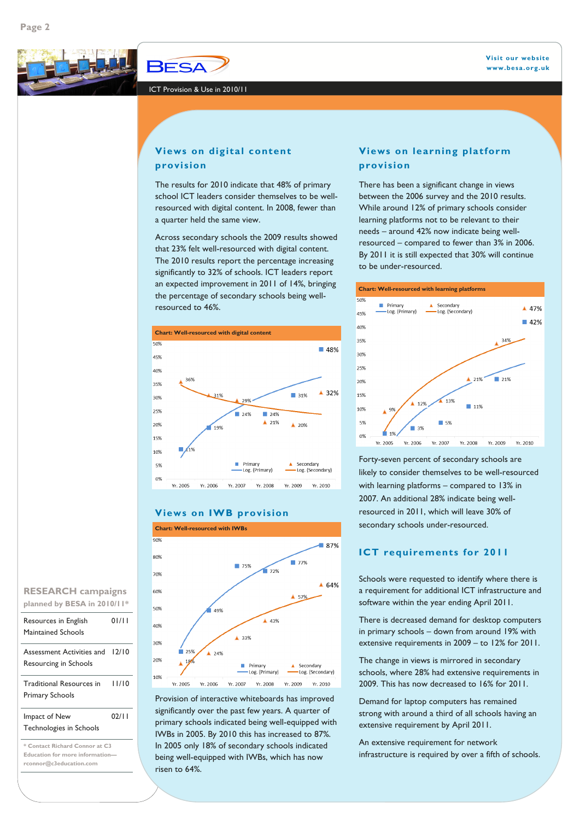

ICT Provision & Use in 2010/11

## **Views on digital content provision**

The results for 2010 indicate that 48% of primary school ICT leaders consider themselves to be wellresourced with digital content. In 2008, fewer than a quarter held the same view.

Across secondary schools the 2009 results showed that 23% felt well-resourced with digital content. The 2010 results report the percentage increasing significantly to 32% of schools. ICT leaders report an expected improvement in 2011 of 14%, bringing the percentage of secondary schools being wellresourced to 46%.



## **Views on IWB provision**



Provision of interactive whiteboards has improved significantly over the past few years. A quarter of primary schools indicated being well-equipped with IWBs in 2005. By 2010 this has increased to 87%. In 2005 only 18% of secondary schools indicated being well-equipped with IWBs, which has now risen to 64%.

## **Views on learning platform provision**

There has been a significant change in views between the 2006 survey and the 2010 results. While around 12% of primary schools consider learning platforms not to be relevant to their needs – around 42% now indicate being wellresourced – compared to fewer than 3% in 2006. By 2011 it is still expected that 30% will continue to be under-resourced.

#### **Chart: Well-resourced with learning platforms**



Forty-seven percent of secondary schools are likely to consider themselves to be well-resourced with learning platforms – compared to 13% in 2007. An additional 28% indicate being wellresourced in 2011, which will leave 30% of secondary schools under-resourced.

## **ICT requirements for 2011**

Schools were requested to identify where there is a requirement for additional ICT infrastructure and software within the year ending April 2011.

There is decreased demand for desktop computers in primary schools – down from around 19% with extensive requirements in 2009 – to 12% for 2011.

The change in views is mirrored in secondary schools, where 28% had extensive requirements in 2009. This has now decreased to 16% for 2011.

Demand for laptop computers has remained strong with around a third of all schools having an extensive requirement by April 2011.

An extensive requirement for network infrastructure is required by over a fifth of schools.

# **RESEARCH campaigns planned by BESA in 2010/11\***

| Resources in English<br>Maintained Schools                | 01/11 |
|-----------------------------------------------------------|-------|
| Assessment Activities and<br>Resourcing in Schools        | 12/10 |
| <b>Traditional Resources in</b><br><b>Primary Schools</b> | 11/10 |
| Impact of New<br>Technologies in Schools                  | 02/11 |
| * Contact Richard Connor at C3                            |       |

**Education for more information rconnor@c3education.com**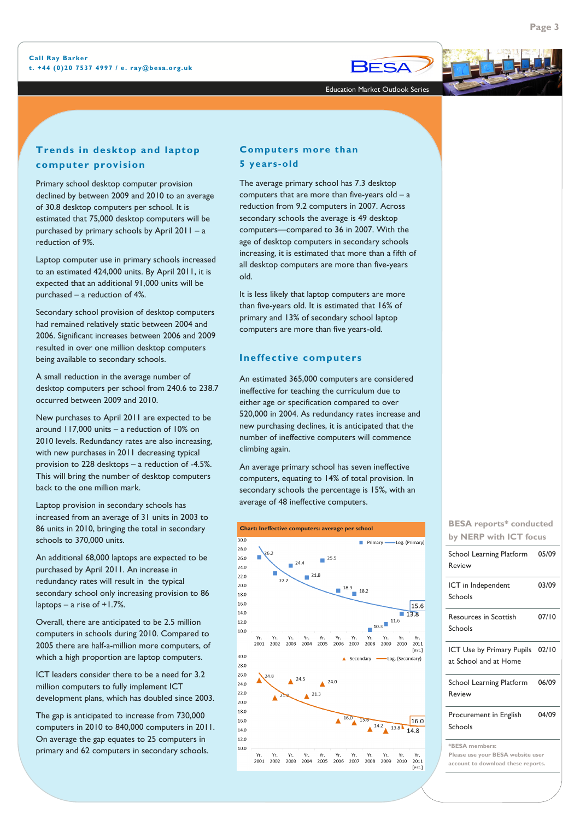

Education Market Outlook Series

## **Trends in desktop and laptop computer provision**

Primary school desktop computer provision declined by between 2009 and 2010 to an average of 30.8 desktop computers per school. It is estimated that 75,000 desktop computers will be purchased by primary schools by April 2011 – a reduction of 9%.

Laptop computer use in primary schools increased to an estimated 424,000 units. By April 2011, it is expected that an additional 91,000 units will be purchased – a reduction of 4%.

Secondary school provision of desktop computers had remained relatively static between 2004 and 2006. Significant increases between 2006 and 2009 resulted in over one million desktop computers being available to secondary schools.

A small reduction in the average number of desktop computers per school from 240.6 to 238.7 occurred between 2009 and 2010.

New purchases to April 2011 are expected to be around 117,000 units – a reduction of 10% on 2010 levels. Redundancy rates are also increasing, with new purchases in 2011 decreasing typical provision to 228 desktops – a reduction of -4.5%. This will bring the number of desktop computers back to the one million mark.

Laptop provision in secondary schools has increased from an average of 31 units in 2003 to 86 units in 2010, bringing the total in secondary schools to 370,000 units.

An additional 68,000 laptops are expected to be purchased by April 2011. An increase in redundancy rates will result in the typical secondary school only increasing provision to 86 laptops – a rise of +1.7%.

Overall, there are anticipated to be 2.5 million computers in schools during 2010. Compared to 2005 there are half-a-million more computers, of which a high proportion are laptop computers.

ICT leaders consider there to be a need for 3.2 million computers to fully implement ICT development plans, which has doubled since 2003.

The gap is anticipated to increase from 730,000 computers in 2010 to 840,000 computers in 2011. On average the gap equates to 25 computers in primary and 62 computers in secondary schools.

## **Computers more than 5 years-old**

The average primary school has 7.3 desktop computers that are more than five-years old – a reduction from 9.2 computers in 2007. Across secondary schools the average is 49 desktop computers—compared to 36 in 2007. With the age of desktop computers in secondary schools increasing, it is estimated that more than a fifth of all desktop computers are more than five-years old.

It is less likely that laptop computers are more than five-years old. It is estimated that 16% of primary and 13% of secondary school laptop computers are more than five years-old.

### **Ineffective computers**

An estimated 365,000 computers are considered ineffective for teaching the curriculum due to either age or specification compared to over 520,000 in 2004. As redundancy rates increase and new purchasing declines, it is anticipated that the number of ineffective computers will commence climbing again.

An average primary school has seven ineffective computers, equating to 14% of total provision. In secondary schools the percentage is 15%, with an average of 48 ineffective computers.



| by NERP with ICT focus                                                                    |       |  |
|-------------------------------------------------------------------------------------------|-------|--|
| School Learning Platform<br>Review                                                        | 05/09 |  |
| ICT in Independent<br>Schools                                                             | 03/09 |  |
| <b>Resources in Scottish</b><br>Schools                                                   | 07/10 |  |
| <b>ICT Use by Primary Pupils</b><br>at School and at Home                                 | 02/10 |  |
| School Learning Platform<br>Review                                                        | 06/09 |  |
| Procurement in English<br>Schools                                                         | 04/09 |  |
| *BESA members:<br>Please use your BESA website user<br>account to download these reports. |       |  |

**BESA reports\* conducted**